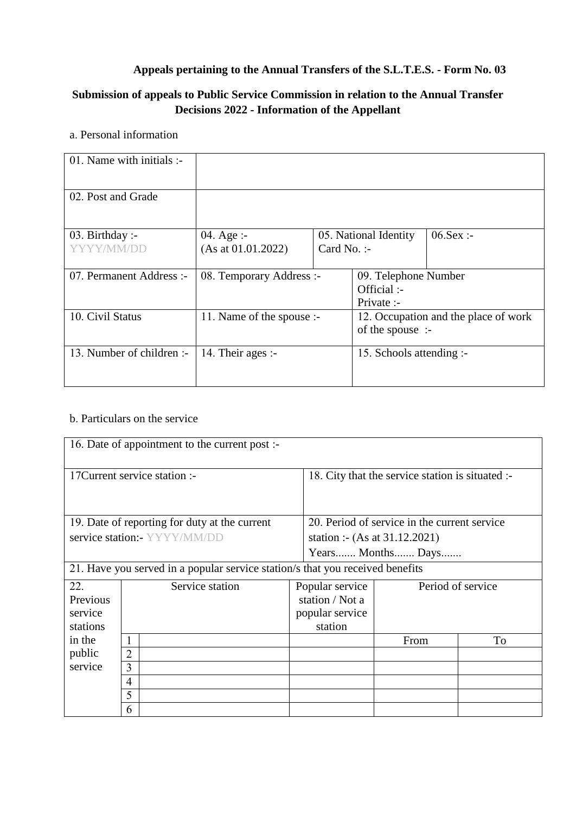## **Appeals pertaining to the Annual Transfers of the S.L.T.E.S. - Form No. 03**

# **Submission of appeals to Public Service Commission in relation to the Annual Transfer Decisions 2022 - Information of the Appellant**

## a. Personal information

| 01. Name with initials :-     |                                  |                        |                                                          |              |
|-------------------------------|----------------------------------|------------------------|----------------------------------------------------------|--------------|
| 02. Post and Grade            |                                  |                        |                                                          |              |
| 03. Birthday :-<br>YYYY/MM/DD | 04. Age :-<br>(As at 01.01.2022) | Card No. $\mathcal{L}$ | 05. National Identity                                    | $06.$ Sex :- |
| 07. Permanent Address :-      | 08. Temporary Address :-         |                        | 09. Telephone Number<br>Official :-<br>Private :-        |              |
| 10. Civil Status              | 11. Name of the spouse :-        |                        | 12. Occupation and the place of work<br>of the spouse :- |              |
| 13. Number of children :-     | 14. Their ages :-                |                        | 15. Schools attending :-                                 |              |

# b. Particulars on the service

| 16. Date of appointment to the current post :-                                |                 |                              |                                                  |                                              |                   |    |
|-------------------------------------------------------------------------------|-----------------|------------------------------|--------------------------------------------------|----------------------------------------------|-------------------|----|
|                                                                               |                 |                              |                                                  |                                              |                   |    |
| 17 Current service station :-                                                 |                 |                              | 18. City that the service station is situated :- |                                              |                   |    |
| 19. Date of reporting for duty at the current                                 |                 |                              |                                                  | 20. Period of service in the current service |                   |    |
|                                                                               |                 | service station:- YYYY/MM/DD |                                                  | station :- (As at 31.12.2021)                |                   |    |
|                                                                               |                 |                              |                                                  | Years Months Days                            |                   |    |
| 21. Have you served in a popular service station/s that you received benefits |                 |                              |                                                  |                                              |                   |    |
| 22.                                                                           | Service station |                              |                                                  | Popular service                              | Period of service |    |
| Previous                                                                      |                 |                              |                                                  | station / Not a                              |                   |    |
| service                                                                       |                 |                              |                                                  | popular service                              |                   |    |
| stations                                                                      |                 |                              |                                                  | station                                      |                   |    |
| in the                                                                        |                 |                              |                                                  |                                              | From              | To |
| public                                                                        | $\overline{2}$  |                              |                                                  |                                              |                   |    |
| service                                                                       | 3               |                              |                                                  |                                              |                   |    |
|                                                                               | $\overline{4}$  |                              |                                                  |                                              |                   |    |
|                                                                               | 5               |                              |                                                  |                                              |                   |    |
|                                                                               | 6               |                              |                                                  |                                              |                   |    |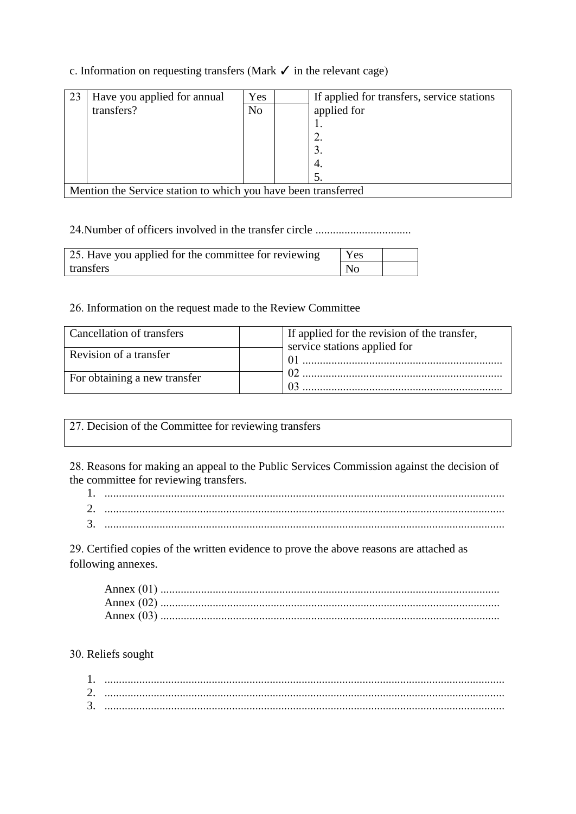## c. Information on requesting transfers (Mark  $\checkmark$  in the relevant cage)

| 23 | Have you applied for annual                                    | Yes            |  | If applied for transfers, service stations |  |
|----|----------------------------------------------------------------|----------------|--|--------------------------------------------|--|
|    | transfers?                                                     | N <sub>o</sub> |  | applied for                                |  |
|    |                                                                |                |  | .,                                         |  |
|    |                                                                |                |  | 2.                                         |  |
|    |                                                                |                |  | 3.                                         |  |
|    |                                                                |                |  | 4.                                         |  |
|    |                                                                |                |  | 5.                                         |  |
|    | Mention the Service station to which you have been transferred |                |  |                                            |  |

24. Number of officers involved in the transfer circle ................................

| 25. Have you applied for the committee for reviewing | Yes            |  |
|------------------------------------------------------|----------------|--|
| transfers                                            | N <sub>0</sub> |  |

26. Information on the request made to the Review Committee

| Cancellation of transfers    | If applied for the revision of the transfer, |
|------------------------------|----------------------------------------------|
|                              | service stations applied for                 |
| Revision of a transfer       |                                              |
| For obtaining a new transfer |                                              |
|                              |                                              |

27. Decision of the Committee for reviewing transfers

28. Reasons for making an appeal to the Public Services Commission against the decision of the committee for reviewing transfers.

| <u>.</u> |  |
|----------|--|
|          |  |

29. Certified copies of the written evidence to prove the above reasons are attached as following annexes.

| Annex        |  |
|--------------|--|
| Annex $(02)$ |  |
| Annex        |  |

30. Reliefs sought

| <u>.</u> |  |
|----------|--|
| .        |  |